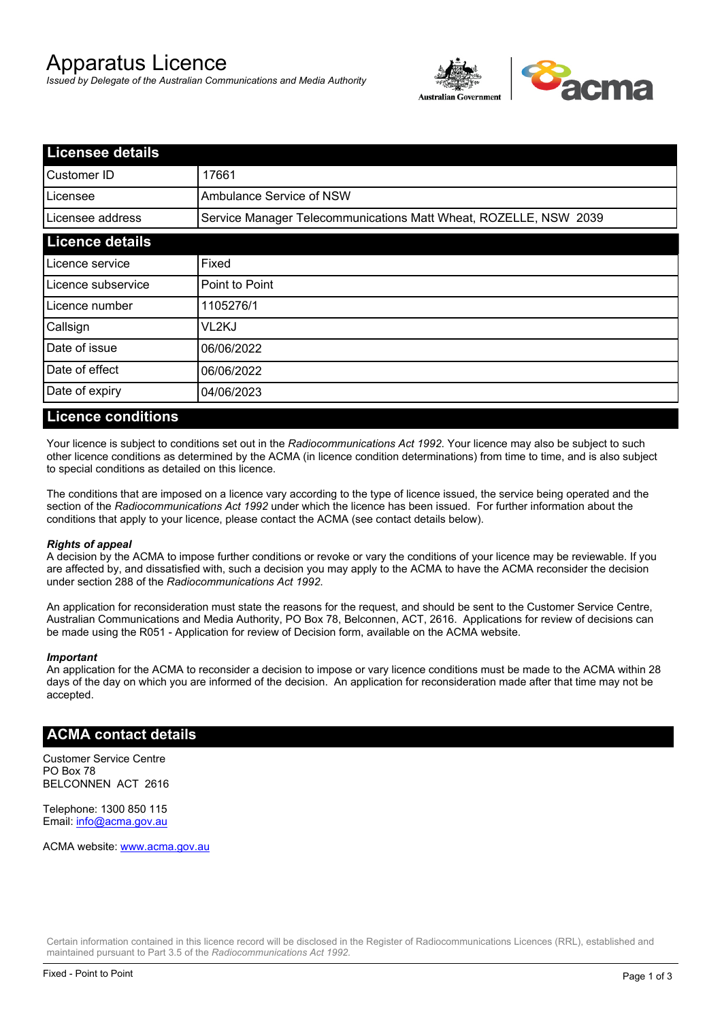# Apparatus Licence

*Issued by Delegate of the Australian Communications and Media Authority*



| <b>Licensee details</b> |                                                                  |  |
|-------------------------|------------------------------------------------------------------|--|
| Customer ID             | 17661                                                            |  |
| Licensee                | Ambulance Service of NSW                                         |  |
| Licensee address        | Service Manager Telecommunications Matt Wheat, ROZELLE, NSW 2039 |  |
| <b>Licence details</b>  |                                                                  |  |
| Licence service         | Fixed                                                            |  |
| Licence subservice      | Point to Point                                                   |  |
| Licence number          | 1105276/1                                                        |  |
| Callsign                | VL2KJ                                                            |  |
| Date of issue           | 06/06/2022                                                       |  |
| Date of effect          | 06/06/2022                                                       |  |
| Date of expiry          | 04/06/2023                                                       |  |

### **Licence conditions**

Your licence is subject to conditions set out in the *Radiocommunications Act 1992*. Your licence may also be subject to such other licence conditions as determined by the ACMA (in licence condition determinations) from time to time, and is also subject to special conditions as detailed on this licence.

The conditions that are imposed on a licence vary according to the type of licence issued, the service being operated and the section of the *Radiocommunications Act 1992* under which the licence has been issued. For further information about the conditions that apply to your licence, please contact the ACMA (see contact details below).

### *Rights of appeal*

A decision by the ACMA to impose further conditions or revoke or vary the conditions of your licence may be reviewable. If you are affected by, and dissatisfied with, such a decision you may apply to the ACMA to have the ACMA reconsider the decision under section 288 of the *Radiocommunications Act 1992*.

An application for reconsideration must state the reasons for the request, and should be sent to the Customer Service Centre, Australian Communications and Media Authority, PO Box 78, Belconnen, ACT, 2616. Applications for review of decisions can be made using the R051 - Application for review of Decision form, available on the ACMA website.

#### *Important*

An application for the ACMA to reconsider a decision to impose or vary licence conditions must be made to the ACMA within 28 days of the day on which you are informed of the decision. An application for reconsideration made after that time may not be accepted.

### **ACMA contact details**

Customer Service Centre PO Box 78 BELCONNEN ACT 2616

Telephone: 1300 850 115 Email: info@acma.gov.au

ACMA website: www.acma.gov.au

Certain information contained in this licence record will be disclosed in the Register of Radiocommunications Licences (RRL), established and maintained pursuant to Part 3.5 of the *Radiocommunications Act 1992.*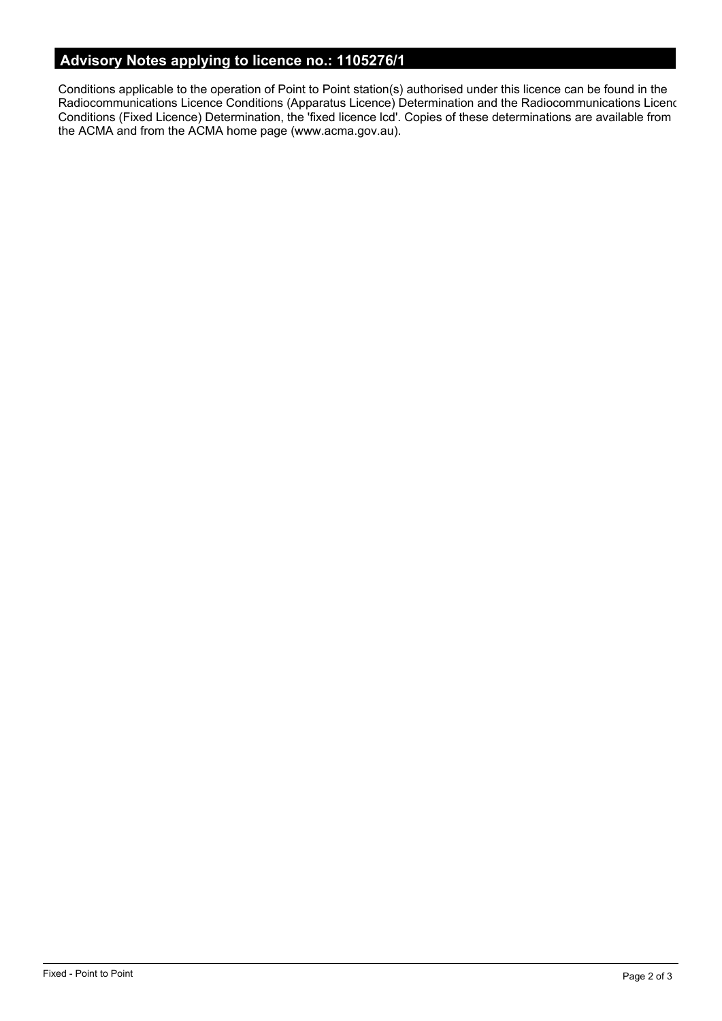# **Advisory Notes applying to licence no.: 1105276/1**

Conditions applicable to the operation of Point to Point station(s) authorised under this licence can be found in the Radiocommunications Licence Conditions (Apparatus Licence) Determination and the Radiocommunications Licence Conditions (Fixed Licence) Determination, the 'fixed licence lcd'. Copies of these determinations are available from the ACMA and from the ACMA home page (www.acma.gov.au).